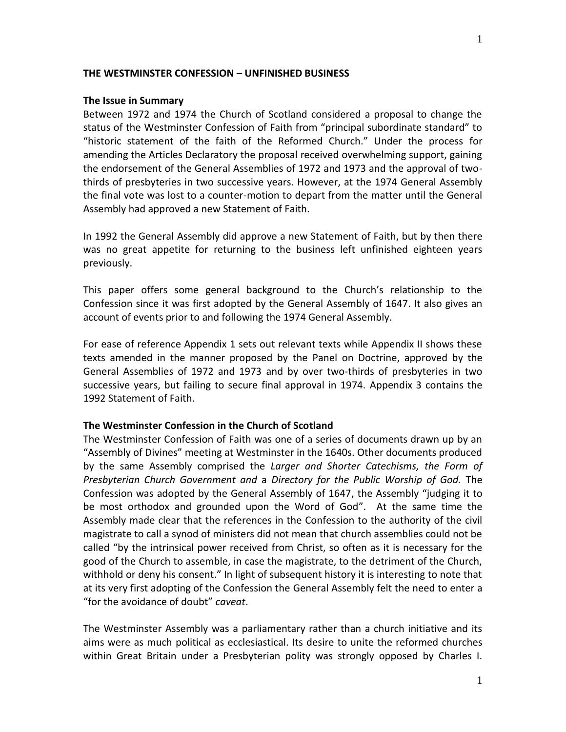#### **THE WESTMINSTER CONFESSION – UNFINISHED BUSINESS**

#### **The Issue in Summary**

Between 1972 and 1974 the Church of Scotland considered a proposal to change the status of the Westminster Confession of Faith from "principal subordinate standard" to "historic statement of the faith of the Reformed Church." Under the process for amending the Articles Declaratory the proposal received overwhelming support, gaining the endorsement of the General Assemblies of 1972 and 1973 and the approval of twothirds of presbyteries in two successive years. However, at the 1974 General Assembly the final vote was lost to a counter-motion to depart from the matter until the General Assembly had approved a new Statement of Faith.

In 1992 the General Assembly did approve a new Statement of Faith, but by then there was no great appetite for returning to the business left unfinished eighteen years previously.

This paper offers some general background to the Church's relationship to the Confession since it was first adopted by the General Assembly of 1647. It also gives an account of events prior to and following the 1974 General Assembly.

For ease of reference Appendix 1 sets out relevant texts while Appendix II shows these texts amended in the manner proposed by the Panel on Doctrine, approved by the General Assemblies of 1972 and 1973 and by over two-thirds of presbyteries in two successive years, but failing to secure final approval in 1974. Appendix 3 contains the 1992 Statement of Faith.

### **The Westminster Confession in the Church of Scotland**

The Westminster Confession of Faith was one of a series of documents drawn up by an "Assembly of Divines" meeting at Westminster in the 1640s. Other documents produced by the same Assembly comprised the *Larger and Shorter Catechisms, the Form of Presbyterian Church Government and* a *Directory for the Public Worship of God.* The Confession was adopted by the General Assembly of 1647, the Assembly "judging it to be most orthodox and grounded upon the Word of God". At the same time the Assembly made clear that the references in the Confession to the authority of the civil magistrate to call a synod of ministers did not mean that church assemblies could not be called "by the intrinsical power received from Christ, so often as it is necessary for the good of the Church to assemble, in case the magistrate, to the detriment of the Church, withhold or deny his consent." In light of subsequent history it is interesting to note that at its very first adopting of the Confession the General Assembly felt the need to enter a "for the avoidance of doubt" *caveat*.

The Westminster Assembly was a parliamentary rather than a church initiative and its aims were as much political as ecclesiastical. Its desire to unite the reformed churches within Great Britain under a Presbyterian polity was strongly opposed by Charles I.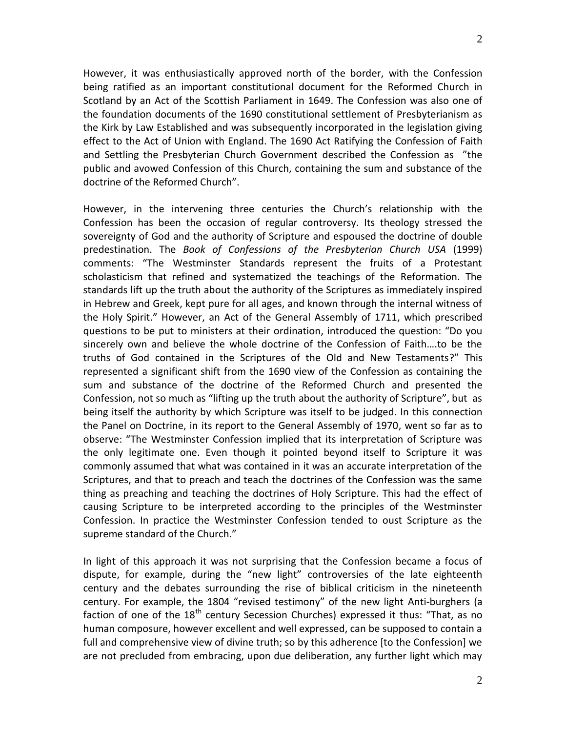However, it was enthusiastically approved north of the border, with the Confession being ratified as an important constitutional document for the Reformed Church in Scotland by an Act of the Scottish Parliament in 1649. The Confession was also one of the foundation documents of the 1690 constitutional settlement of Presbyterianism as the Kirk by Law Established and was subsequently incorporated in the legislation giving effect to the Act of Union with England. The 1690 Act Ratifying the Confession of Faith and Settling the Presbyterian Church Government described the Confession as "the public and avowed Confession of this Church, containing the sum and substance of the doctrine of the Reformed Church".

However, in the intervening three centuries the Church's relationship with the Confession has been the occasion of regular controversy. Its theology stressed the sovereignty of God and the authority of Scripture and espoused the doctrine of double predestination. The *Book of Confessions of the Presbyterian Church USA* (1999) comments: "The Westminster Standards represent the fruits of a Protestant scholasticism that refined and systematized the teachings of the Reformation. The standards lift up the truth about the authority of the Scriptures as immediately inspired in Hebrew and Greek, kept pure for all ages, and known through the internal witness of the Holy Spirit." However, an Act of the General Assembly of 1711, which prescribed questions to be put to ministers at their ordination, introduced the question: "Do you sincerely own and believe the whole doctrine of the Confession of Faith….to be the truths of God contained in the Scriptures of the Old and New Testaments?" This represented a significant shift from the 1690 view of the Confession as containing the sum and substance of the doctrine of the Reformed Church and presented the Confession, not so much as "lifting up the truth about the authority of Scripture", but as being itself the authority by which Scripture was itself to be judged. In this connection the Panel on Doctrine, in its report to the General Assembly of 1970, went so far as to observe: "The Westminster Confession implied that its interpretation of Scripture was the only legitimate one. Even though it pointed beyond itself to Scripture it was commonly assumed that what was contained in it was an accurate interpretation of the Scriptures, and that to preach and teach the doctrines of the Confession was the same thing as preaching and teaching the doctrines of Holy Scripture. This had the effect of causing Scripture to be interpreted according to the principles of the Westminster Confession. In practice the Westminster Confession tended to oust Scripture as the supreme standard of the Church."

In light of this approach it was not surprising that the Confession became a focus of dispute, for example, during the "new light" controversies of the late eighteenth century and the debates surrounding the rise of biblical criticism in the nineteenth century. For example, the 1804 "revised testimony" of the new light Anti-burghers (a faction of one of the  $18<sup>th</sup>$  century Secession Churches) expressed it thus: "That, as no human composure, however excellent and well expressed, can be supposed to contain a full and comprehensive view of divine truth; so by this adherence [to the Confession] we are not precluded from embracing, upon due deliberation, any further light which may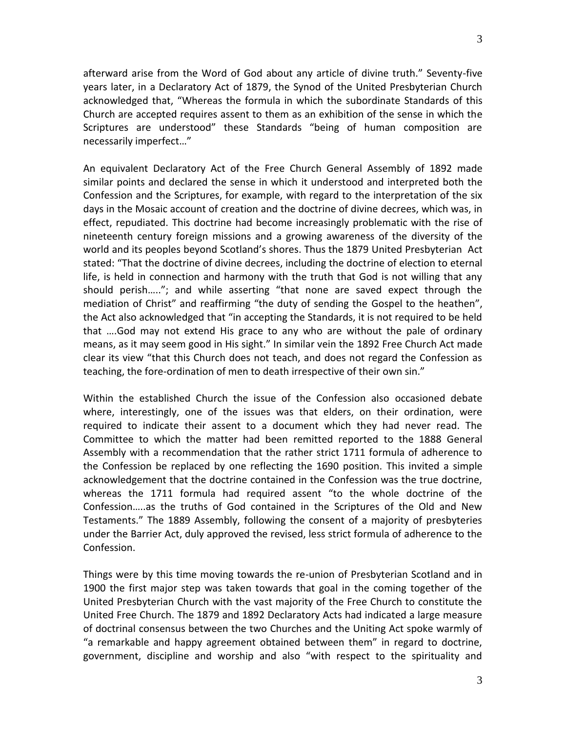afterward arise from the Word of God about any article of divine truth." Seventy-five years later, in a Declaratory Act of 1879, the Synod of the United Presbyterian Church acknowledged that, "Whereas the formula in which the subordinate Standards of this Church are accepted requires assent to them as an exhibition of the sense in which the Scriptures are understood" these Standards "being of human composition are

necessarily imperfect…"

An equivalent Declaratory Act of the Free Church General Assembly of 1892 made similar points and declared the sense in which it understood and interpreted both the Confession and the Scriptures, for example, with regard to the interpretation of the six days in the Mosaic account of creation and the doctrine of divine decrees, which was, in effect, repudiated. This doctrine had become increasingly problematic with the rise of nineteenth century foreign missions and a growing awareness of the diversity of the world and its peoples beyond Scotland's shores. Thus the 1879 United Presbyterian Act stated: "That the doctrine of divine decrees, including the doctrine of election to eternal life, is held in connection and harmony with the truth that God is not willing that any should perish….."; and while asserting "that none are saved expect through the mediation of Christ" and reaffirming "the duty of sending the Gospel to the heathen", the Act also acknowledged that "in accepting the Standards, it is not required to be held that ….God may not extend His grace to any who are without the pale of ordinary means, as it may seem good in His sight." In similar vein the 1892 Free Church Act made clear its view "that this Church does not teach, and does not regard the Confession as teaching, the fore-ordination of men to death irrespective of their own sin."

Within the established Church the issue of the Confession also occasioned debate where, interestingly, one of the issues was that elders, on their ordination, were required to indicate their assent to a document which they had never read. The Committee to which the matter had been remitted reported to the 1888 General Assembly with a recommendation that the rather strict 1711 formula of adherence to the Confession be replaced by one reflecting the 1690 position. This invited a simple acknowledgement that the doctrine contained in the Confession was the true doctrine, whereas the 1711 formula had required assent "to the whole doctrine of the Confession…..as the truths of God contained in the Scriptures of the Old and New Testaments." The 1889 Assembly, following the consent of a majority of presbyteries under the Barrier Act, duly approved the revised, less strict formula of adherence to the Confession.

Things were by this time moving towards the re-union of Presbyterian Scotland and in 1900 the first major step was taken towards that goal in the coming together of the United Presbyterian Church with the vast majority of the Free Church to constitute the United Free Church. The 1879 and 1892 Declaratory Acts had indicated a large measure of doctrinal consensus between the two Churches and the Uniting Act spoke warmly of "a remarkable and happy agreement obtained between them" in regard to doctrine, government, discipline and worship and also "with respect to the spirituality and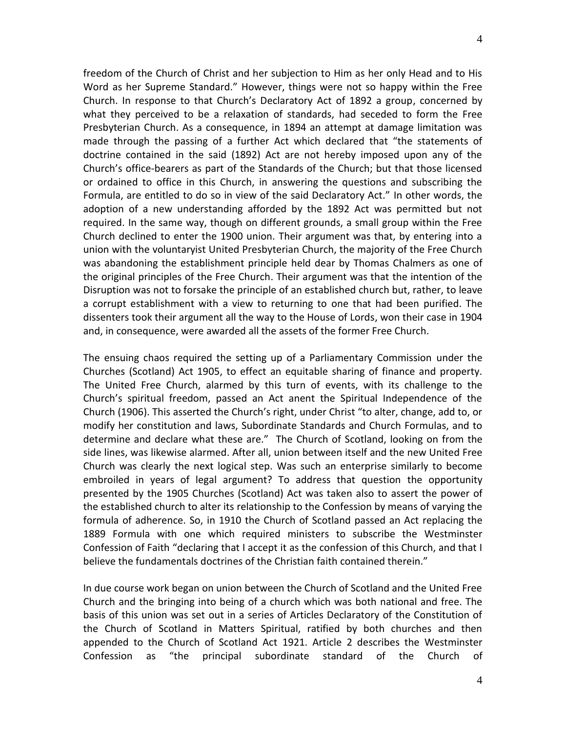freedom of the Church of Christ and her subjection to Him as her only Head and to His Word as her Supreme Standard." However, things were not so happy within the Free Church. In response to that Church's Declaratory Act of 1892 a group, concerned by what they perceived to be a relaxation of standards, had seceded to form the Free Presbyterian Church. As a consequence, in 1894 an attempt at damage limitation was made through the passing of a further Act which declared that "the statements of doctrine contained in the said (1892) Act are not hereby imposed upon any of the Church's office-bearers as part of the Standards of the Church; but that those licensed or ordained to office in this Church, in answering the questions and subscribing the Formula, are entitled to do so in view of the said Declaratory Act." In other words, the adoption of a new understanding afforded by the 1892 Act was permitted but not required. In the same way, though on different grounds, a small group within the Free Church declined to enter the 1900 union. Their argument was that, by entering into a union with the voluntaryist United Presbyterian Church, the majority of the Free Church was abandoning the establishment principle held dear by Thomas Chalmers as one of the original principles of the Free Church. Their argument was that the intention of the Disruption was not to forsake the principle of an established church but, rather, to leave a corrupt establishment with a view to returning to one that had been purified. The dissenters took their argument all the way to the House of Lords, won their case in 1904 and, in consequence, were awarded all the assets of the former Free Church.

The ensuing chaos required the setting up of a Parliamentary Commission under the Churches (Scotland) Act 1905, to effect an equitable sharing of finance and property. The United Free Church, alarmed by this turn of events, with its challenge to the Church's spiritual freedom, passed an Act anent the Spiritual Independence of the Church (1906). This asserted the Church's right, under Christ "to alter, change, add to, or modify her constitution and laws, Subordinate Standards and Church Formulas, and to determine and declare what these are." The Church of Scotland, looking on from the side lines, was likewise alarmed. After all, union between itself and the new United Free Church was clearly the next logical step. Was such an enterprise similarly to become embroiled in years of legal argument? To address that question the opportunity presented by the 1905 Churches (Scotland) Act was taken also to assert the power of the established church to alter its relationship to the Confession by means of varying the formula of adherence. So, in 1910 the Church of Scotland passed an Act replacing the 1889 Formula with one which required ministers to subscribe the Westminster Confession of Faith "declaring that I accept it as the confession of this Church, and that I believe the fundamentals doctrines of the Christian faith contained therein."

In due course work began on union between the Church of Scotland and the United Free Church and the bringing into being of a church which was both national and free. The basis of this union was set out in a series of Articles Declaratory of the Constitution of the Church of Scotland in Matters Spiritual, ratified by both churches and then appended to the Church of Scotland Act 1921. Article 2 describes the Westminster Confession as "the principal subordinate standard of the Church of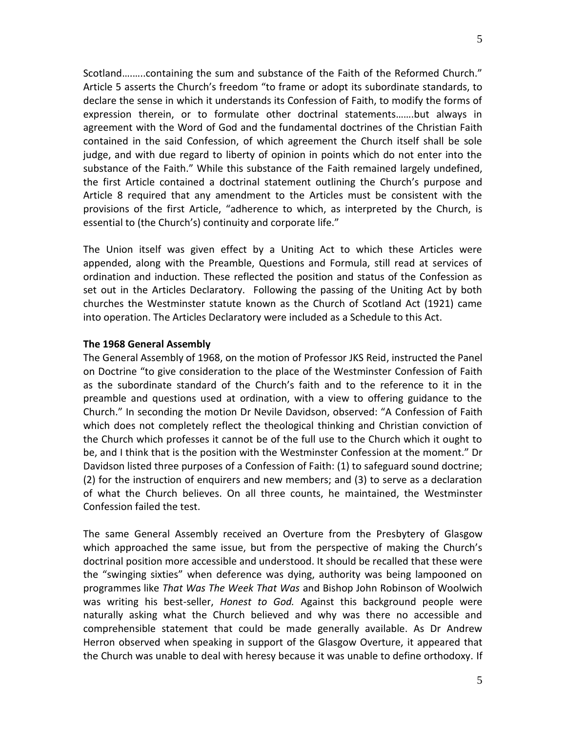5

Scotland….…..containing the sum and substance of the Faith of the Reformed Church." Article 5 asserts the Church's freedom "to frame or adopt its subordinate standards, to declare the sense in which it understands its Confession of Faith, to modify the forms of expression therein, or to formulate other doctrinal statements…….but always in agreement with the Word of God and the fundamental doctrines of the Christian Faith contained in the said Confession, of which agreement the Church itself shall be sole judge, and with due regard to liberty of opinion in points which do not enter into the substance of the Faith." While this substance of the Faith remained largely undefined, the first Article contained a doctrinal statement outlining the Church's purpose and Article 8 required that any amendment to the Articles must be consistent with the provisions of the first Article, "adherence to which, as interpreted by the Church, is essential to (the Church's) continuity and corporate life."

The Union itself was given effect by a Uniting Act to which these Articles were appended, along with the Preamble, Questions and Formula, still read at services of ordination and induction. These reflected the position and status of the Confession as set out in the Articles Declaratory. Following the passing of the Uniting Act by both churches the Westminster statute known as the Church of Scotland Act (1921) came into operation. The Articles Declaratory were included as a Schedule to this Act.

### **The 1968 General Assembly**

The General Assembly of 1968, on the motion of Professor JKS Reid, instructed the Panel on Doctrine "to give consideration to the place of the Westminster Confession of Faith as the subordinate standard of the Church's faith and to the reference to it in the preamble and questions used at ordination, with a view to offering guidance to the Church." In seconding the motion Dr Nevile Davidson, observed: "A Confession of Faith which does not completely reflect the theological thinking and Christian conviction of the Church which professes it cannot be of the full use to the Church which it ought to be, and I think that is the position with the Westminster Confession at the moment." Dr Davidson listed three purposes of a Confession of Faith: (1) to safeguard sound doctrine; (2) for the instruction of enquirers and new members; and (3) to serve as a declaration of what the Church believes. On all three counts, he maintained, the Westminster Confession failed the test.

The same General Assembly received an Overture from the Presbytery of Glasgow which approached the same issue, but from the perspective of making the Church's doctrinal position more accessible and understood. It should be recalled that these were the "swinging sixties" when deference was dying, authority was being lampooned on programmes like *That Was The Week That Was* and Bishop John Robinson of Woolwich was writing his best-seller, *Honest to God.* Against this background people were naturally asking what the Church believed and why was there no accessible and comprehensible statement that could be made generally available. As Dr Andrew Herron observed when speaking in support of the Glasgow Overture, it appeared that the Church was unable to deal with heresy because it was unable to define orthodoxy. If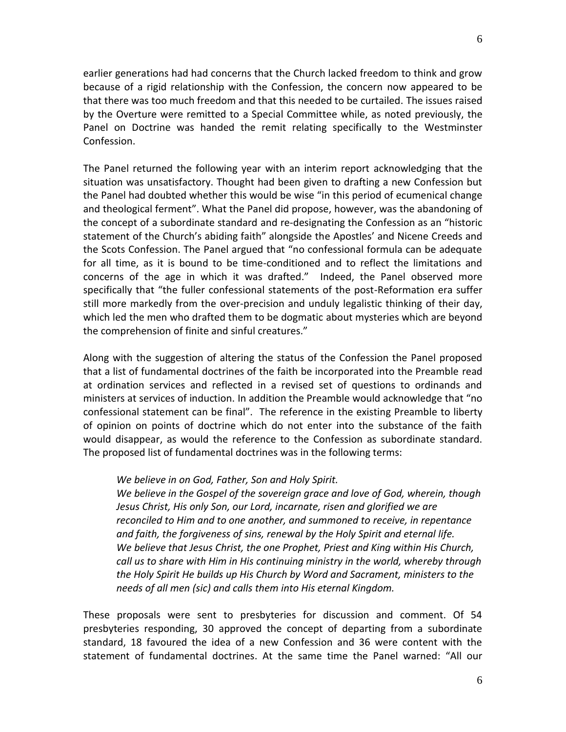earlier generations had had concerns that the Church lacked freedom to think and grow because of a rigid relationship with the Confession, the concern now appeared to be that there was too much freedom and that this needed to be curtailed. The issues raised by the Overture were remitted to a Special Committee while, as noted previously, the Panel on Doctrine was handed the remit relating specifically to the Westminster Confession.

The Panel returned the following year with an interim report acknowledging that the situation was unsatisfactory. Thought had been given to drafting a new Confession but the Panel had doubted whether this would be wise "in this period of ecumenical change and theological ferment". What the Panel did propose, however, was the abandoning of the concept of a subordinate standard and re-designating the Confession as an "historic statement of the Church's abiding faith" alongside the Apostles' and Nicene Creeds and the Scots Confession. The Panel argued that "no confessional formula can be adequate for all time, as it is bound to be time-conditioned and to reflect the limitations and concerns of the age in which it was drafted." Indeed, the Panel observed more specifically that "the fuller confessional statements of the post-Reformation era suffer still more markedly from the over-precision and unduly legalistic thinking of their day, which led the men who drafted them to be dogmatic about mysteries which are beyond the comprehension of finite and sinful creatures."

Along with the suggestion of altering the status of the Confession the Panel proposed that a list of fundamental doctrines of the faith be incorporated into the Preamble read at ordination services and reflected in a revised set of questions to ordinands and ministers at services of induction. In addition the Preamble would acknowledge that "no confessional statement can be final". The reference in the existing Preamble to liberty of opinion on points of doctrine which do not enter into the substance of the faith would disappear, as would the reference to the Confession as subordinate standard. The proposed list of fundamental doctrines was in the following terms:

# *We believe in on God, Father, Son and Holy Spirit.*

*We believe in the Gospel of the sovereign grace and love of God, wherein, though Jesus Christ, His only Son, our Lord, incarnate, risen and glorified we are reconciled to Him and to one another, and summoned to receive, in repentance and faith, the forgiveness of sins, renewal by the Holy Spirit and eternal life. We believe that Jesus Christ, the one Prophet, Priest and King within His Church, call us to share with Him in His continuing ministry in the world, whereby through the Holy Spirit He builds up His Church by Word and Sacrament, ministers to the needs of all men (sic) and calls them into His eternal Kingdom.*

These proposals were sent to presbyteries for discussion and comment. Of 54 presbyteries responding, 30 approved the concept of departing from a subordinate standard, 18 favoured the idea of a new Confession and 36 were content with the statement of fundamental doctrines. At the same time the Panel warned: "All our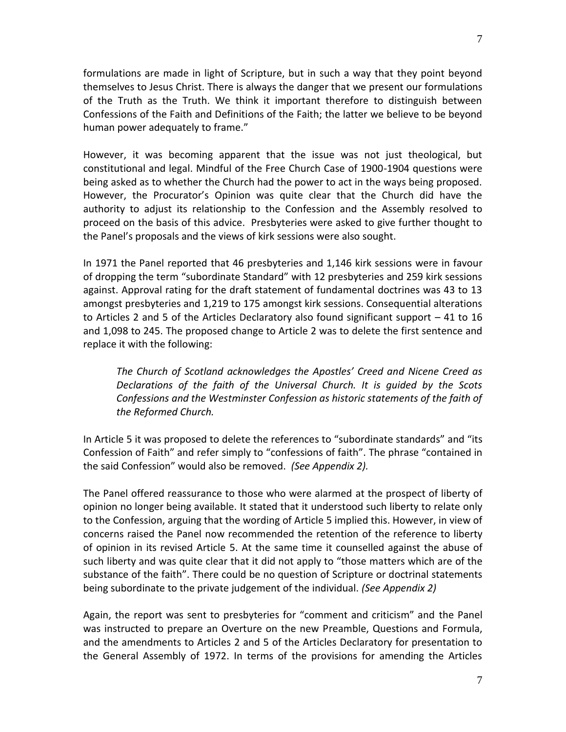formulations are made in light of Scripture, but in such a way that they point beyond themselves to Jesus Christ. There is always the danger that we present our formulations of the Truth as the Truth. We think it important therefore to distinguish between Confessions of the Faith and Definitions of the Faith; the latter we believe to be beyond human power adequately to frame."

However, it was becoming apparent that the issue was not just theological, but constitutional and legal. Mindful of the Free Church Case of 1900-1904 questions were being asked as to whether the Church had the power to act in the ways being proposed. However, the Procurator's Opinion was quite clear that the Church did have the authority to adjust its relationship to the Confession and the Assembly resolved to proceed on the basis of this advice. Presbyteries were asked to give further thought to the Panel's proposals and the views of kirk sessions were also sought.

In 1971 the Panel reported that 46 presbyteries and 1,146 kirk sessions were in favour of dropping the term "subordinate Standard" with 12 presbyteries and 259 kirk sessions against. Approval rating for the draft statement of fundamental doctrines was 43 to 13 amongst presbyteries and 1,219 to 175 amongst kirk sessions. Consequential alterations to Articles 2 and 5 of the Articles Declaratory also found significant support – 41 to 16 and 1,098 to 245. The proposed change to Article 2 was to delete the first sentence and replace it with the following:

*The Church of Scotland acknowledges the Apostles' Creed and Nicene Creed as Declarations of the faith of the Universal Church. It is guided by the Scots Confessions and the Westminster Confession as historic statements of the faith of the Reformed Church.* 

In Article 5 it was proposed to delete the references to "subordinate standards" and "its Confession of Faith" and refer simply to "confessions of faith". The phrase "contained in the said Confession" would also be removed. *(See Appendix 2).*

The Panel offered reassurance to those who were alarmed at the prospect of liberty of opinion no longer being available. It stated that it understood such liberty to relate only to the Confession, arguing that the wording of Article 5 implied this. However, in view of concerns raised the Panel now recommended the retention of the reference to liberty of opinion in its revised Article 5. At the same time it counselled against the abuse of such liberty and was quite clear that it did not apply to "those matters which are of the substance of the faith". There could be no question of Scripture or doctrinal statements being subordinate to the private judgement of the individual. *(See Appendix 2)*

Again, the report was sent to presbyteries for "comment and criticism" and the Panel was instructed to prepare an Overture on the new Preamble, Questions and Formula, and the amendments to Articles 2 and 5 of the Articles Declaratory for presentation to the General Assembly of 1972. In terms of the provisions for amending the Articles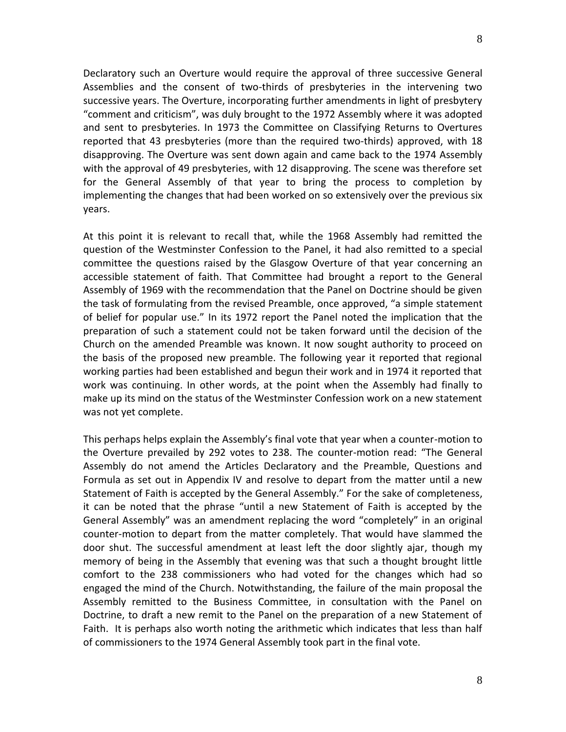Declaratory such an Overture would require the approval of three successive General Assemblies and the consent of two-thirds of presbyteries in the intervening two successive years. The Overture, incorporating further amendments in light of presbytery "comment and criticism", was duly brought to the 1972 Assembly where it was adopted and sent to presbyteries. In 1973 the Committee on Classifying Returns to Overtures reported that 43 presbyteries (more than the required two-thirds) approved, with 18 disapproving. The Overture was sent down again and came back to the 1974 Assembly with the approval of 49 presbyteries, with 12 disapproving. The scene was therefore set for the General Assembly of that year to bring the process to completion by implementing the changes that had been worked on so extensively over the previous six years.

At this point it is relevant to recall that, while the 1968 Assembly had remitted the question of the Westminster Confession to the Panel, it had also remitted to a special committee the questions raised by the Glasgow Overture of that year concerning an accessible statement of faith. That Committee had brought a report to the General Assembly of 1969 with the recommendation that the Panel on Doctrine should be given the task of formulating from the revised Preamble, once approved, "a simple statement of belief for popular use." In its 1972 report the Panel noted the implication that the preparation of such a statement could not be taken forward until the decision of the Church on the amended Preamble was known. It now sought authority to proceed on the basis of the proposed new preamble. The following year it reported that regional working parties had been established and begun their work and in 1974 it reported that work was continuing. In other words, at the point when the Assembly had finally to make up its mind on the status of the Westminster Confession work on a new statement was not yet complete.

This perhaps helps explain the Assembly's final vote that year when a counter-motion to the Overture prevailed by 292 votes to 238. The counter-motion read: "The General Assembly do not amend the Articles Declaratory and the Preamble, Questions and Formula as set out in Appendix IV and resolve to depart from the matter until a new Statement of Faith is accepted by the General Assembly." For the sake of completeness, it can be noted that the phrase "until a new Statement of Faith is accepted by the General Assembly" was an amendment replacing the word "completely" in an original counter-motion to depart from the matter completely. That would have slammed the door shut. The successful amendment at least left the door slightly ajar, though my memory of being in the Assembly that evening was that such a thought brought little comfort to the 238 commissioners who had voted for the changes which had so engaged the mind of the Church. Notwithstanding, the failure of the main proposal the Assembly remitted to the Business Committee, in consultation with the Panel on Doctrine, to draft a new remit to the Panel on the preparation of a new Statement of Faith. It is perhaps also worth noting the arithmetic which indicates that less than half of commissioners to the 1974 General Assembly took part in the final vote.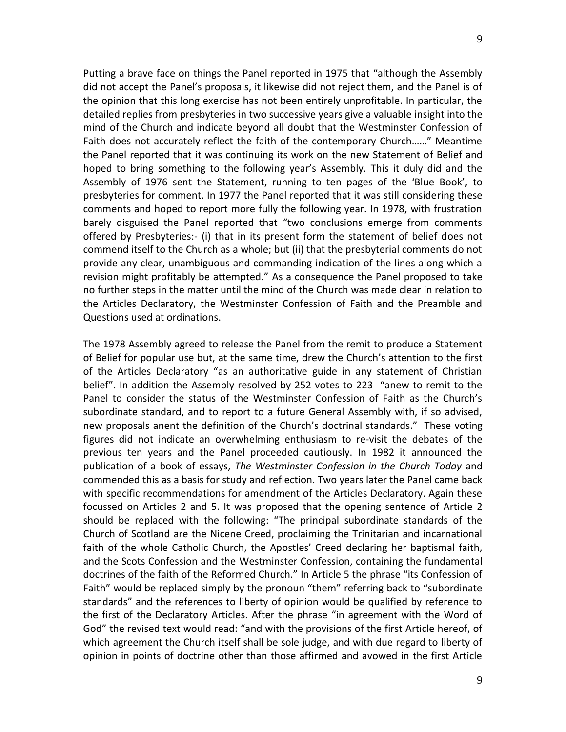Putting a brave face on things the Panel reported in 1975 that "although the Assembly did not accept the Panel's proposals, it likewise did not reject them, and the Panel is of the opinion that this long exercise has not been entirely unprofitable. In particular, the detailed replies from presbyteries in two successive years give a valuable insight into the mind of the Church and indicate beyond all doubt that the Westminster Confession of Faith does not accurately reflect the faith of the contemporary Church……" Meantime the Panel reported that it was continuing its work on the new Statement of Belief and hoped to bring something to the following year's Assembly. This it duly did and the Assembly of 1976 sent the Statement, running to ten pages of the 'Blue Book', to presbyteries for comment. In 1977 the Panel reported that it was still considering these comments and hoped to report more fully the following year. In 1978, with frustration barely disguised the Panel reported that "two conclusions emerge from comments offered by Presbyteries:- (i) that in its present form the statement of belief does not commend itself to the Church as a whole; but (ii) that the presbyterial comments do not provide any clear, unambiguous and commanding indication of the lines along which a revision might profitably be attempted." As a consequence the Panel proposed to take no further steps in the matter until the mind of the Church was made clear in relation to the Articles Declaratory, the Westminster Confession of Faith and the Preamble and Questions used at ordinations.

The 1978 Assembly agreed to release the Panel from the remit to produce a Statement of Belief for popular use but, at the same time, drew the Church's attention to the first of the Articles Declaratory "as an authoritative guide in any statement of Christian belief". In addition the Assembly resolved by 252 votes to 223 "anew to remit to the Panel to consider the status of the Westminster Confession of Faith as the Church's subordinate standard, and to report to a future General Assembly with, if so advised, new proposals anent the definition of the Church's doctrinal standards." These voting figures did not indicate an overwhelming enthusiasm to re-visit the debates of the previous ten years and the Panel proceeded cautiously. In 1982 it announced the publication of a book of essays, *The Westminster Confession in the Church Today* and commended this as a basis for study and reflection. Two years later the Panel came back with specific recommendations for amendment of the Articles Declaratory. Again these focussed on Articles 2 and 5. It was proposed that the opening sentence of Article 2 should be replaced with the following: "The principal subordinate standards of the Church of Scotland are the Nicene Creed, proclaiming the Trinitarian and incarnational faith of the whole Catholic Church, the Apostles' Creed declaring her baptismal faith, and the Scots Confession and the Westminster Confession, containing the fundamental doctrines of the faith of the Reformed Church." In Article 5 the phrase "its Confession of Faith" would be replaced simply by the pronoun "them" referring back to "subordinate standards" and the references to liberty of opinion would be qualified by reference to the first of the Declaratory Articles. After the phrase "in agreement with the Word of God" the revised text would read: "and with the provisions of the first Article hereof, of which agreement the Church itself shall be sole judge, and with due regard to liberty of opinion in points of doctrine other than those affirmed and avowed in the first Article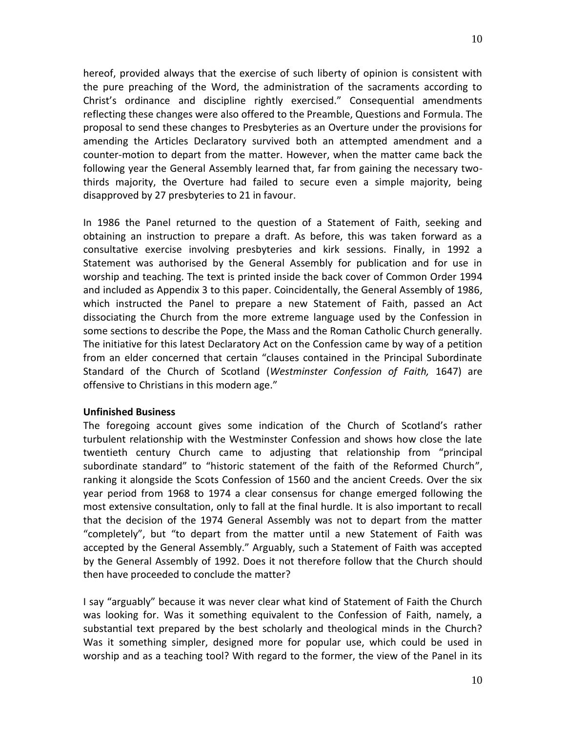hereof, provided always that the exercise of such liberty of opinion is consistent with the pure preaching of the Word, the administration of the sacraments according to Christ's ordinance and discipline rightly exercised." Consequential amendments reflecting these changes were also offered to the Preamble, Questions and Formula. The proposal to send these changes to Presbyteries as an Overture under the provisions for amending the Articles Declaratory survived both an attempted amendment and a counter-motion to depart from the matter. However, when the matter came back the following year the General Assembly learned that, far from gaining the necessary twothirds majority, the Overture had failed to secure even a simple majority, being disapproved by 27 presbyteries to 21 in favour.

In 1986 the Panel returned to the question of a Statement of Faith, seeking and obtaining an instruction to prepare a draft. As before, this was taken forward as a consultative exercise involving presbyteries and kirk sessions. Finally, in 1992 a Statement was authorised by the General Assembly for publication and for use in worship and teaching. The text is printed inside the back cover of Common Order 1994 and included as Appendix 3 to this paper. Coincidentally, the General Assembly of 1986, which instructed the Panel to prepare a new Statement of Faith, passed an Act dissociating the Church from the more extreme language used by the Confession in some sections to describe the Pope, the Mass and the Roman Catholic Church generally. The initiative for this latest Declaratory Act on the Confession came by way of a petition from an elder concerned that certain "clauses contained in the Principal Subordinate Standard of the Church of Scotland (*Westminster Confession of Faith,* 1647) are offensive to Christians in this modern age."

# **Unfinished Business**

The foregoing account gives some indication of the Church of Scotland's rather turbulent relationship with the Westminster Confession and shows how close the late twentieth century Church came to adjusting that relationship from "principal subordinate standard" to "historic statement of the faith of the Reformed Church", ranking it alongside the Scots Confession of 1560 and the ancient Creeds. Over the six year period from 1968 to 1974 a clear consensus for change emerged following the most extensive consultation, only to fall at the final hurdle. It is also important to recall that the decision of the 1974 General Assembly was not to depart from the matter "completely", but "to depart from the matter until a new Statement of Faith was accepted by the General Assembly." Arguably, such a Statement of Faith was accepted by the General Assembly of 1992. Does it not therefore follow that the Church should then have proceeded to conclude the matter?

I say "arguably" because it was never clear what kind of Statement of Faith the Church was looking for. Was it something equivalent to the Confession of Faith, namely, a substantial text prepared by the best scholarly and theological minds in the Church? Was it something simpler, designed more for popular use, which could be used in worship and as a teaching tool? With regard to the former, the view of the Panel in its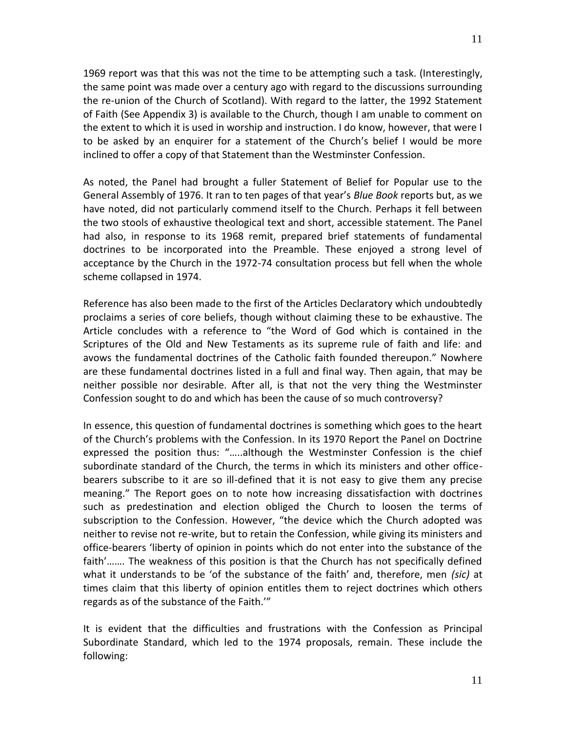1969 report was that this was not the time to be attempting such a task. (Interestingly, the same point was made over a century ago with regard to the discussions surrounding the re-union of the Church of Scotland). With regard to the latter, the 1992 Statement of Faith (See Appendix 3) is available to the Church, though I am unable to comment on the extent to which it is used in worship and instruction. I do know, however, that were I to be asked by an enquirer for a statement of the Church's belief I would be more inclined to offer a copy of that Statement than the Westminster Confession.

As noted, the Panel had brought a fuller Statement of Belief for Popular use to the General Assembly of 1976. It ran to ten pages of that year's *Blue Book* reports but, as we have noted, did not particularly commend itself to the Church. Perhaps it fell between the two stools of exhaustive theological text and short, accessible statement. The Panel had also, in response to its 1968 remit, prepared brief statements of fundamental doctrines to be incorporated into the Preamble. These enjoyed a strong level of acceptance by the Church in the 1972-74 consultation process but fell when the whole scheme collapsed in 1974.

Reference has also been made to the first of the Articles Declaratory which undoubtedly proclaims a series of core beliefs, though without claiming these to be exhaustive. The Article concludes with a reference to "the Word of God which is contained in the Scriptures of the Old and New Testaments as its supreme rule of faith and life: and avows the fundamental doctrines of the Catholic faith founded thereupon." Nowhere are these fundamental doctrines listed in a full and final way. Then again, that may be neither possible nor desirable. After all, is that not the very thing the Westminster Confession sought to do and which has been the cause of so much controversy?

In essence, this question of fundamental doctrines is something which goes to the heart of the Church's problems with the Confession. In its 1970 Report the Panel on Doctrine expressed the position thus: "…..although the Westminster Confession is the chief subordinate standard of the Church, the terms in which its ministers and other officebearers subscribe to it are so ill-defined that it is not easy to give them any precise meaning." The Report goes on to note how increasing dissatisfaction with doctrines such as predestination and election obliged the Church to loosen the terms of subscription to the Confession. However, "the device which the Church adopted was neither to revise not re-write, but to retain the Confession, while giving its ministers and office-bearers 'liberty of opinion in points which do not enter into the substance of the faith'……. The weakness of this position is that the Church has not specifically defined what it understands to be 'of the substance of the faith' and, therefore, men *(sic)* at times claim that this liberty of opinion entitles them to reject doctrines which others regards as of the substance of the Faith.'"

It is evident that the difficulties and frustrations with the Confession as Principal Subordinate Standard, which led to the 1974 proposals, remain. These include the following: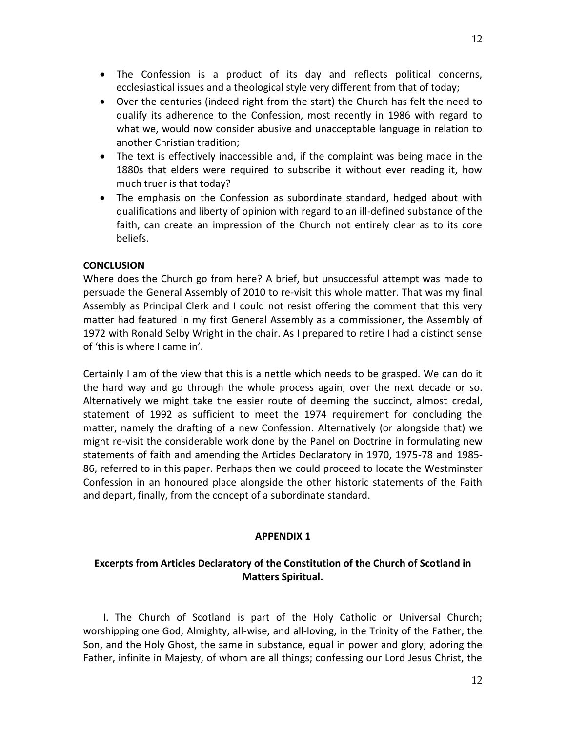- The Confession is a product of its day and reflects political concerns, ecclesiastical issues and a theological style very different from that of today;
- Over the centuries (indeed right from the start) the Church has felt the need to qualify its adherence to the Confession, most recently in 1986 with regard to what we, would now consider abusive and unacceptable language in relation to another Christian tradition;
- The text is effectively inaccessible and, if the complaint was being made in the 1880s that elders were required to subscribe it without ever reading it, how much truer is that today?
- The emphasis on the Confession as subordinate standard, hedged about with qualifications and liberty of opinion with regard to an ill-defined substance of the faith, can create an impression of the Church not entirely clear as to its core beliefs.

# **CONCLUSION**

Where does the Church go from here? A brief, but unsuccessful attempt was made to persuade the General Assembly of 2010 to re-visit this whole matter. That was my final Assembly as Principal Clerk and I could not resist offering the comment that this very matter had featured in my first General Assembly as a commissioner, the Assembly of 1972 with Ronald Selby Wright in the chair. As I prepared to retire I had a distinct sense of 'this is where I came in'.

Certainly I am of the view that this is a nettle which needs to be grasped. We can do it the hard way and go through the whole process again, over the next decade or so. Alternatively we might take the easier route of deeming the succinct, almost credal, statement of 1992 as sufficient to meet the 1974 requirement for concluding the matter, namely the drafting of a new Confession. Alternatively (or alongside that) we might re-visit the considerable work done by the Panel on Doctrine in formulating new statements of faith and amending the Articles Declaratory in 1970, 1975-78 and 1985- 86, referred to in this paper. Perhaps then we could proceed to locate the Westminster Confession in an honoured place alongside the other historic statements of the Faith and depart, finally, from the concept of a subordinate standard.

# **APPENDIX 1**

# **Excerpts from Articles Declaratory of the Constitution of the Church of Scotland in Matters Spiritual.**

I. The Church of Scotland is part of the Holy Catholic or Universal Church; worshipping one God, Almighty, all-wise, and all-loving, in the Trinity of the Father, the Son, and the Holy Ghost, the same in substance, equal in power and glory; adoring the Father, infinite in Majesty, of whom are all things; confessing our Lord Jesus Christ, the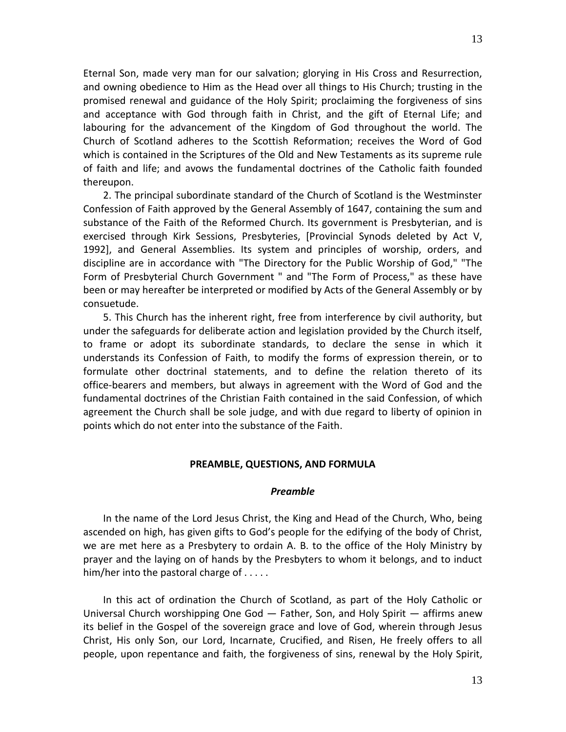Eternal Son, made very man for our salvation; glorying in His Cross and Resurrection, and owning obedience to Him as the Head over all things to His Church; trusting in the promised renewal and guidance of the Holy Spirit; proclaiming the forgiveness of sins and acceptance with God through faith in Christ, and the gift of Eternal Life; and labouring for the advancement of the Kingdom of God throughout the world. The Church of Scotland adheres to the Scottish Reformation; receives the Word of God which is contained in the Scriptures of the Old and New Testaments as its supreme rule of faith and life; and avows the fundamental doctrines of the Catholic faith founded thereupon.

2. The principal subordinate standard of the Church of Scotland is the Westminster Confession of Faith approved by the General Assembly of 1647, containing the sum and substance of the Faith of the Reformed Church. Its government is Presbyterian, and is exercised through Kirk Sessions, Presbyteries, [Provincial Synods deleted by Act V, 1992], and General Assemblies. Its system and principles of worship, orders, and discipline are in accordance with "The Directory for the Public Worship of God," "The Form of Presbyterial Church Government " and "The Form of Process," as these have been or may hereafter be interpreted or modified by Acts of the General Assembly or by consuetude.

5. This Church has the inherent right, free from interference by civil authority, but under the safeguards for deliberate action and legislation provided by the Church itself, to frame or adopt its subordinate standards, to declare the sense in which it understands its Confession of Faith, to modify the forms of expression therein, or to formulate other doctrinal statements, and to define the relation thereto of its office-bearers and members, but always in agreement with the Word of God and the fundamental doctrines of the Christian Faith contained in the said Confession, of which agreement the Church shall be sole judge, and with due regard to liberty of opinion in points which do not enter into the substance of the Faith.

### **PREAMBLE, QUESTIONS, AND FORMULA**

#### *Preamble*

In the name of the Lord Jesus Christ, the King and Head of the Church, Who, being ascended on high, has given gifts to God's people for the edifying of the body of Christ, we are met here as a Presbytery to ordain A. B. to the office of the Holy Ministry by prayer and the laying on of hands by the Presbyters to whom it belongs, and to induct him/her into the pastoral charge of . . . . .

In this act of ordination the Church of Scotland, as part of the Holy Catholic or Universal Church worshipping One God — Father, Son, and Holy Spirit — affirms anew its belief in the Gospel of the sovereign grace and love of God, wherein through Jesus Christ, His only Son, our Lord, Incarnate, Crucified, and Risen, He freely offers to all people, upon repentance and faith, the forgiveness of sins, renewal by the Holy Spirit,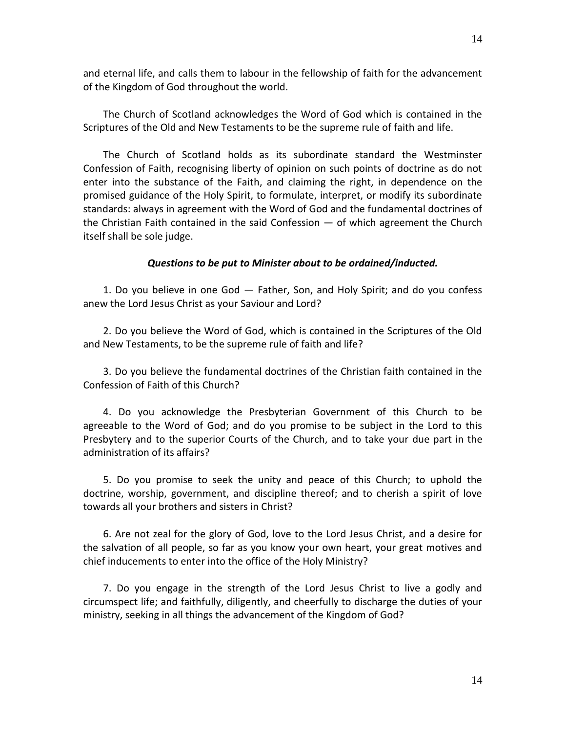and eternal life, and calls them to labour in the fellowship of faith for the advancement of the Kingdom of God throughout the world.

The Church of Scotland acknowledges the Word of God which is contained in the Scriptures of the Old and New Testaments to be the supreme rule of faith and life.

The Church of Scotland holds as its subordinate standard the Westminster Confession of Faith, recognising liberty of opinion on such points of doctrine as do not enter into the substance of the Faith, and claiming the right, in dependence on the promised guidance of the Holy Spirit, to formulate, interpret, or modify its subordinate standards: always in agreement with the Word of God and the fundamental doctrines of the Christian Faith contained in the said Confession — of which agreement the Church itself shall be sole judge.

### *Questions to be put to Minister about to be ordained/inducted.*

1. Do you believe in one God — Father, Son, and Holy Spirit; and do you confess anew the Lord Jesus Christ as your Saviour and Lord?

2. Do you believe the Word of God, which is contained in the Scriptures of the Old and New Testaments, to be the supreme rule of faith and life?

3. Do you believe the fundamental doctrines of the Christian faith contained in the Confession of Faith of this Church?

4. Do you acknowledge the Presbyterian Government of this Church to be agreeable to the Word of God; and do you promise to be subject in the Lord to this Presbytery and to the superior Courts of the Church, and to take your due part in the administration of its affairs?

5. Do you promise to seek the unity and peace of this Church; to uphold the doctrine, worship, government, and discipline thereof; and to cherish a spirit of love towards all your brothers and sisters in Christ?

6. Are not zeal for the glory of God, love to the Lord Jesus Christ, and a desire for the salvation of all people, so far as you know your own heart, your great motives and chief inducements to enter into the office of the Holy Ministry?

7. Do you engage in the strength of the Lord Jesus Christ to live a godly and circumspect life; and faithfully, diligently, and cheerfully to discharge the duties of your ministry, seeking in all things the advancement of the Kingdom of God?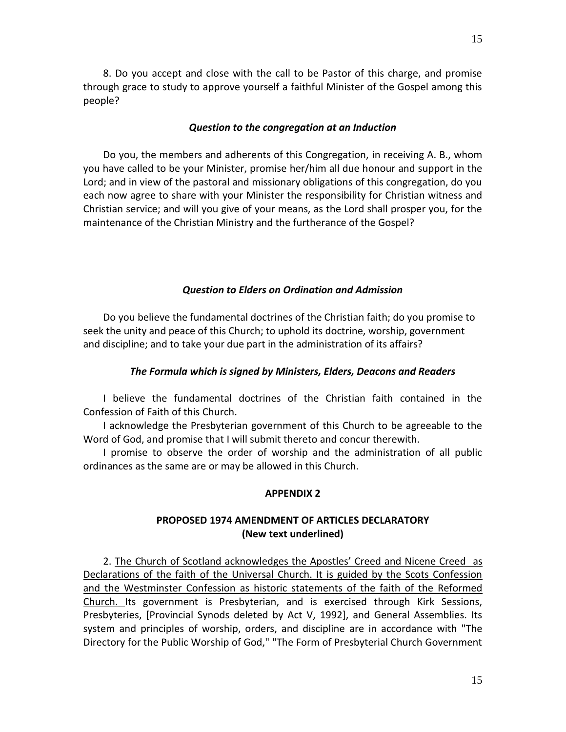8. Do you accept and close with the call to be Pastor of this charge, and promise through grace to study to approve yourself a faithful Minister of the Gospel among this people?

#### *Question to the congregation at an Induction*

Do you, the members and adherents of this Congregation, in receiving A. B., whom you have called to be your Minister, promise her/him all due honour and support in the Lord; and in view of the pastoral and missionary obligations of this congregation, do you each now agree to share with your Minister the responsibility for Christian witness and Christian service; and will you give of your means, as the Lord shall prosper you, for the maintenance of the Christian Ministry and the furtherance of the Gospel?

#### *Question to Elders on Ordination and Admission*

Do you believe the fundamental doctrines of the Christian faith; do you promise to seek the unity and peace of this Church; to uphold its doctrine, worship, government and discipline; and to take your due part in the administration of its affairs?

### *The Formula which is signed by Ministers, Elders, Deacons and Readers*

I believe the fundamental doctrines of the Christian faith contained in the Confession of Faith of this Church.

I acknowledge the Presbyterian government of this Church to be agreeable to the Word of God, and promise that I will submit thereto and concur therewith.

I promise to observe the order of worship and the administration of all public ordinances as the same are or may be allowed in this Church.

### **APPENDIX 2**

## **PROPOSED 1974 AMENDMENT OF ARTICLES DECLARATORY (New text underlined)**

2. The Church of Scotland acknowledges the Apostles' Creed and Nicene Creed as Declarations of the faith of the Universal Church. It is guided by the Scots Confession and the Westminster Confession as historic statements of the faith of the Reformed Church. Its government is Presbyterian, and is exercised through Kirk Sessions, Presbyteries, [Provincial Synods deleted by Act V, 1992], and General Assemblies. Its system and principles of worship, orders, and discipline are in accordance with "The Directory for the Public Worship of God," "The Form of Presbyterial Church Government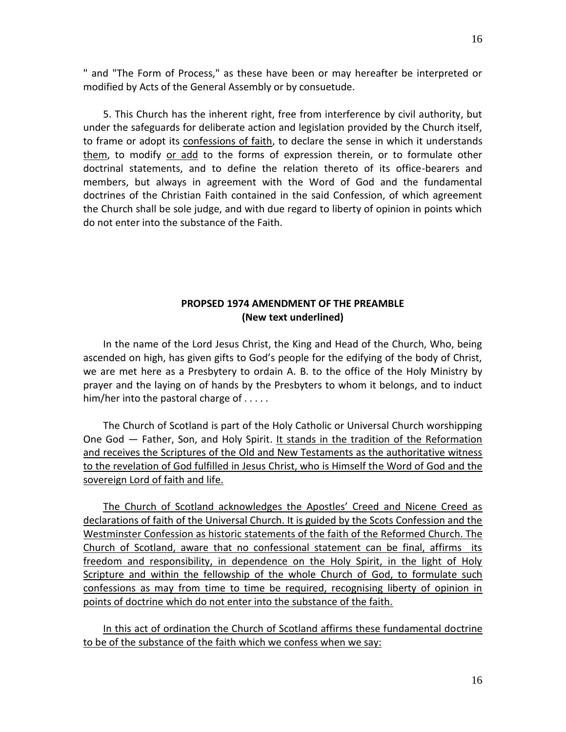" and "The Form of Process," as these have been or may hereafter be interpreted or modified by Acts of the General Assembly or by consuetude.

5. This Church has the inherent right, free from interference by civil authority, but under the safeguards for deliberate action and legislation provided by the Church itself, to frame or adopt its confessions of faith, to declare the sense in which it understands them, to modify or add to the forms of expression therein, or to formulate other doctrinal statements, and to define the relation thereto of its office-bearers and members, but always in agreement with the Word of God and the fundamental doctrines of the Christian Faith contained in the said Confession, of which agreement the Church shall be sole judge, and with due regard to liberty of opinion in points which do not enter into the substance of the Faith.

# **PROPSED 1974 AMENDMENT OF THE PREAMBLE (New text underlined)**

In the name of the Lord Jesus Christ, the King and Head of the Church, Who, being ascended on high, has given gifts to God's people for the edifying of the body of Christ, we are met here as a Presbytery to ordain A. B. to the office of the Holy Ministry by prayer and the laying on of hands by the Presbyters to whom it belongs, and to induct him/her into the pastoral charge of . . . . .

The Church of Scotland is part of the Holy Catholic or Universal Church worshipping One God — Father, Son, and Holy Spirit. It stands in the tradition of the Reformation and receives the Scriptures of the Old and New Testaments as the authoritative witness to the revelation of God fulfilled in Jesus Christ, who is Himself the Word of God and the sovereign Lord of faith and life.

The Church of Scotland acknowledges the Apostles' Creed and Nicene Creed as declarations of faith of the Universal Church. It is guided by the Scots Confession and the Westminster Confession as historic statements of the faith of the Reformed Church. The Church of Scotland, aware that no confessional statement can be final, affirms its freedom and responsibility, in dependence on the Holy Spirit, in the light of Holy Scripture and within the fellowship of the whole Church of God, to formulate such confessions as may from time to time be required, recognising liberty of opinion in points of doctrine which do not enter into the substance of the faith.

In this act of ordination the Church of Scotland affirms these fundamental doctrine to be of the substance of the faith which we confess when we say: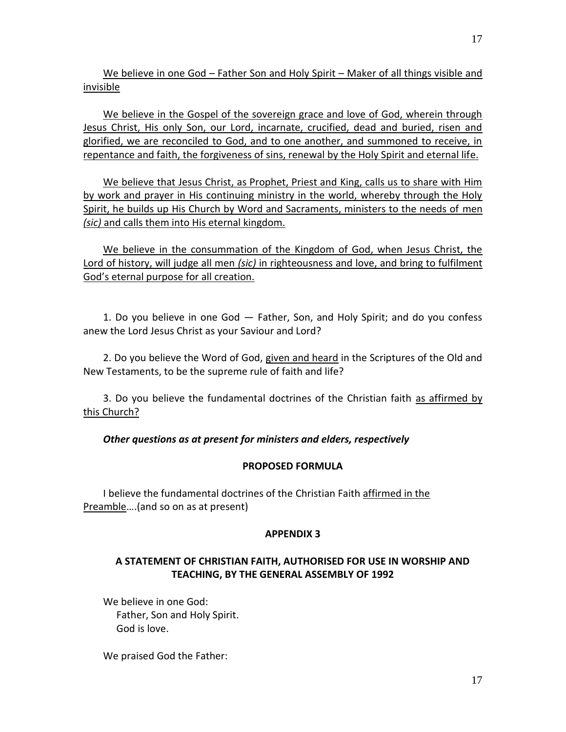We believe in one God – Father Son and Holy Spirit – Maker of all things visible and invisible

We believe in the Gospel of the sovereign grace and love of God, wherein through Jesus Christ, His only Son, our Lord, incarnate, crucified, dead and buried, risen and glorified, we are reconciled to God, and to one another, and summoned to receive, in repentance and faith, the forgiveness of sins, renewal by the Holy Spirit and eternal life.

We believe that Jesus Christ, as Prophet, Priest and King, calls us to share with Him by work and prayer in His continuing ministry in the world, whereby through the Holy Spirit, he builds up His Church by Word and Sacraments, ministers to the needs of men *(sic)* and calls them into His eternal kingdom.

We believe in the consummation of the Kingdom of God, when Jesus Christ, the Lord of history, will judge all men *(sic)* in righteousness and love, and bring to fulfilment God's eternal purpose for all creation.

1. Do you believe in one God — Father, Son, and Holy Spirit; and do you confess anew the Lord Jesus Christ as your Saviour and Lord?

2. Do you believe the Word of God, given and heard in the Scriptures of the Old and New Testaments, to be the supreme rule of faith and life?

3. Do you believe the fundamental doctrines of the Christian faith as affirmed by this Church?

# *Other questions as at present for ministers and elders, respectively*

# **PROPOSED FORMULA**

I believe the fundamental doctrines of the Christian Faith affirmed in the Preamble….(and so on as at present)

# **APPENDIX 3**

# **A STATEMENT OF CHRISTIAN FAITH, AUTHORISED FOR USE IN WORSHIP AND TEACHING, BY THE GENERAL ASSEMBLY OF 1992**

We believe in one God: Father, Son and Holy Spirit. God is love.

We praised God the Father: